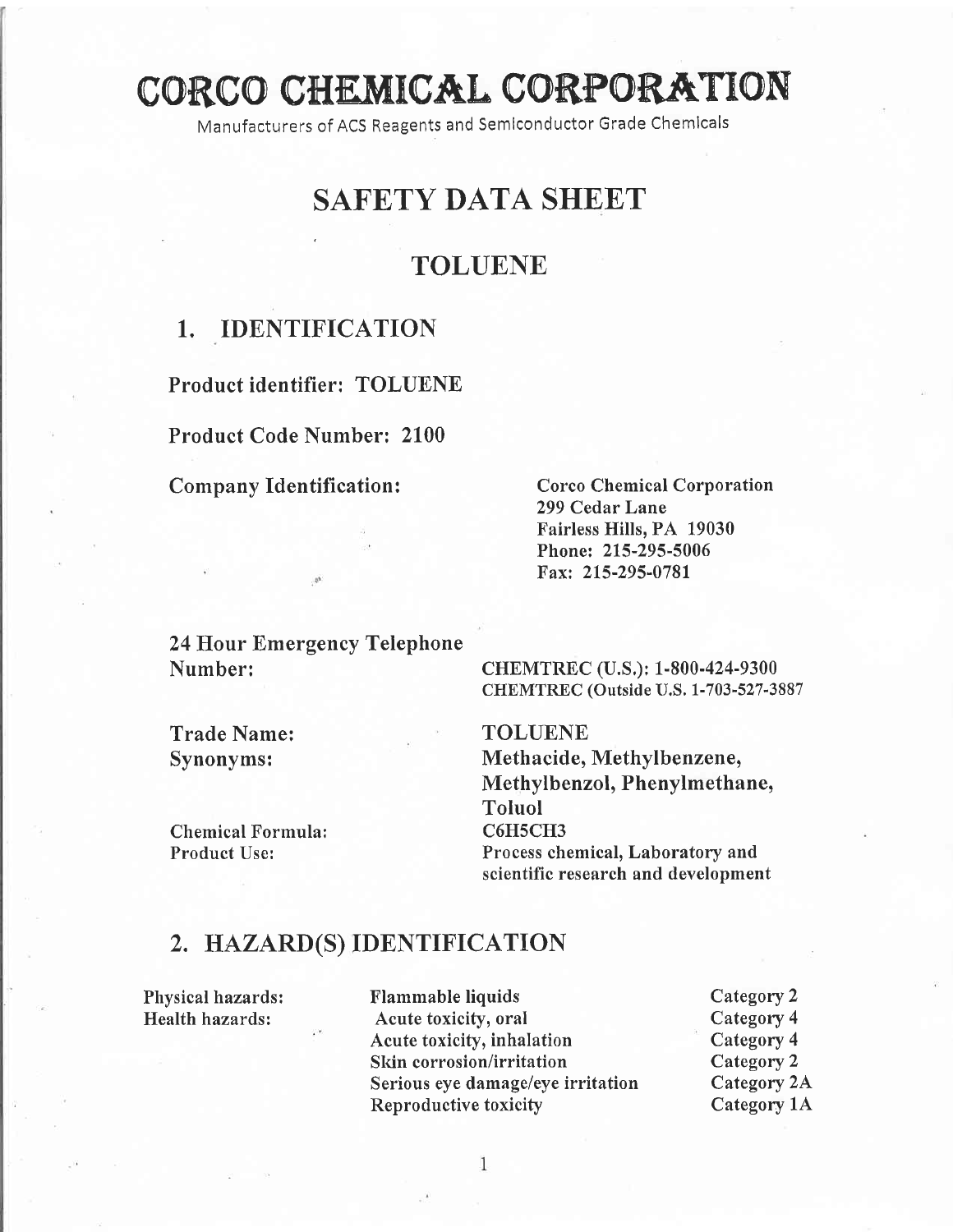# CORCO CHEMICAL CORPORATION

Manufacturers of ACS Reagents and Semlconductor Grade Chemlcals

# SAFETY DATA SHEET

# TOLUENE

# 1. IDENTIFICATION

Product identifier: TOLUENE

Product Code Number: 2100

#### Company Identification: Corco Chemical Corporation

299 Cedar Lane Fairless Hills, PA 19030 Phone: 215-295-5006 Fax: 215-295-0781

24 Hour Emergency Telephone Number:

Trade Name: Synonyms:

CHEMTREC (Outside U.S. 1-703-527-3887 TOLUENE Methacide, Methylbenzene, Methylbenzol, Phenylmethane,

CHEMTREC (U.S.): 1-800-424-9300

Chemical Formula: Product Use:

Toluol C6H5CH3 Process chemical, Laboratory and scientific research and development

# 2. HAZARD(S) IDENTIFICATION

Physical hazards: Health hazards:

Flammable liquids Acute toxicity, oral Acute toxicity, inhalation Skin corrosion/irritation Serious eye damage/eye irritation Reproductive toxicity

1

Category 2 Category 4 Category 4 Category 2 Category 2A Category 1A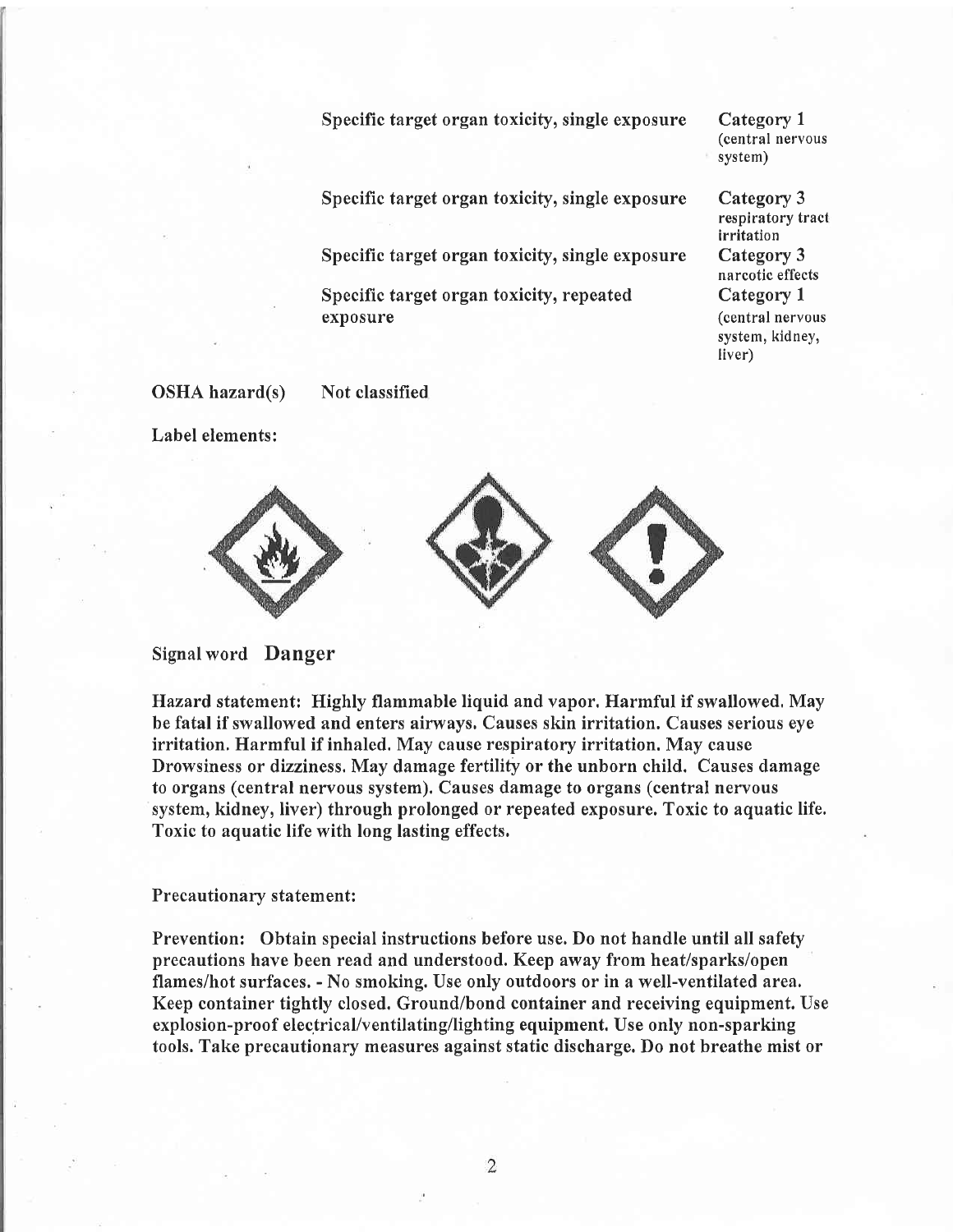Specific target organ toxicity, single exposure

Category <sup>1</sup> (central nervous system)

Specific target organ toxicity, single exposure

Specific target organ toxicity, single exposure

Specific target organ toxicity, repeated exposure

Category 3 respiratory tract irritation Category 3 narcotic effects Category I (central nervous system, kidney, liver)

OSHA hazard(s)

Not classified

Label elements:



Signal word Danger

Hazard statement: Highly flammable liquid and vapor. Harmful if swallowed, May be fatal if swallowed and enters airways, Causes skin irritation. Causes serious eye irritation. Harmful if inhaled. May cause respiratory irritation. May cause Drowsiness or dizziness. May damage fertility or the unborn child. Causes damage to organs (central nervous system). Causes damage to organs (central nervous system, kidney, liver) through prolonged or repeated exposure. Toxic to aquatic life. Toxic to aquatic life with long lasting effects.

#### Precautionary statement:

Prevention: Obtain special instructions before use. Do not handle until all safety precautions have been read and understood. Keep away from heat/sparks/ope1 flames/hot surfaces. - No smoking. Use only outdoors or in a well-ventilated area. Keep container tightly closed. Ground/bond container and receiving equipment. Use explosion-proof electrical/ventilating/lighting equipment. Use only non-sparking tools. Take precautionary measures against static discharge. Do not breathe mist or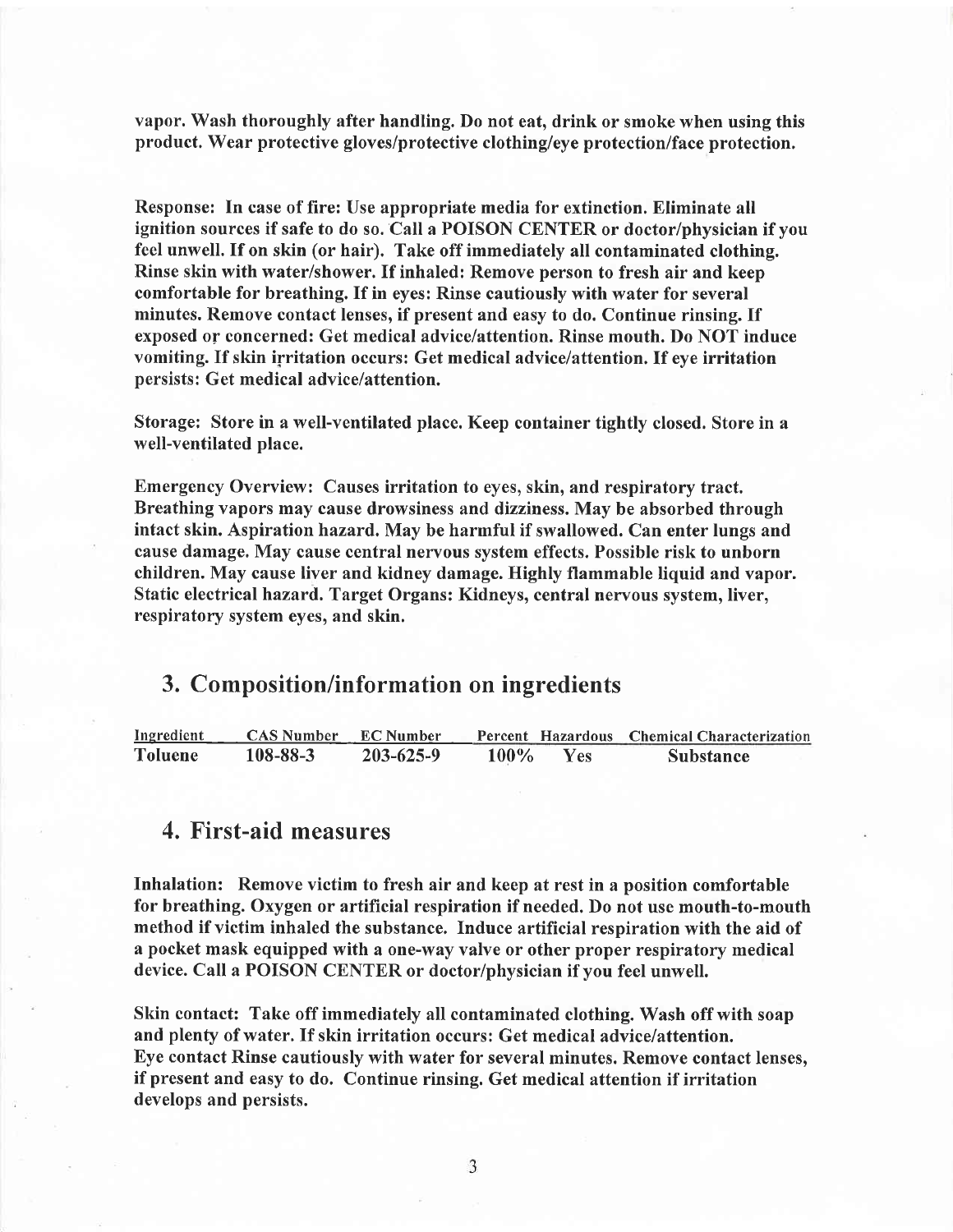vapor. Wash thoroughly after handling. Do not eat, drink or smoke when using this product. Wear protective gloves/protective clothing/eye protection/face protection.

Response: In case of fire: Use appropriate media for extinction. Eliminate all ignition sources if safe to do so. Call a POISON CENTER or doctor/physician if you feel unwell. If on skin (or hair). Take off immediately all contaminated clothing. Rinse skin with water/shower. If inhaled: Remove person to fresh air and keep comfortable for breathing. If in eyes: Rinse cautiously with water for several minutes. Remove contact lenses, if present and easy to do. Continue rinsing. If exposed or concerned: Get medical advice/attention. Rinse mouth. Do NOT induce vomiting. If skin irritation occurs: Get medical advice/attention. If eye irritation persists: Get medical advice/attention.

Storage: Store in a well-ventilated place. Keep container tightly closed. Store in <sup>a</sup> well-ventilated place.

Emergency Overview: Causes irritation to eyes, skin, and respiratory tract. Breathing vapors may cause drowsiness and dizziness. May be absorbed through intact skin. Aspiration hazard, May be harmful if swallowed. Can enter lungs and cause damage. May cause central nervous system effects. Possible risk to unborn children. May cause liver and kidney damage. Highly flammable liquid and vapor. Static electrical hazard. Target Organs: Kidneys, central nervous system, liver, respiratory system eyes, and skin.

## 3. Composition/information on ingredients

| Ingredient     | CAS Number EC Number |                 |      |     | Percent Hazardous Chemical Characterization |
|----------------|----------------------|-----------------|------|-----|---------------------------------------------|
| <b>Toluene</b> | $108 - 88 - 3$       | $203 - 625 - 9$ | 100% | Yes | <b>Substance</b>                            |

# 4. First-aid measures

Inhalation: Remove victim to fresh air and keep at rest in a position comfortable for breathing. Oxygen or artificial respiration if needed. Do not use mouth-to-mouth method if victim inhaled the substance. Induce artificial respiration with the aid of a pocket mask equipped with a one-way valve or other proper respiratory medical device. Call a POISON CENTER or doctor/physician if you feel unwell.

Skin contact: Take off immediately all contaminated clothing. Wash off with soap and plenty of water. If skin irritation occurs: Get medical advice/attention. Eye contact Rinse cautiously with water for several minutes. Remove contact lenses, if present and easy to do. Continue rinsing. Get medical attention if irritation develops and persists.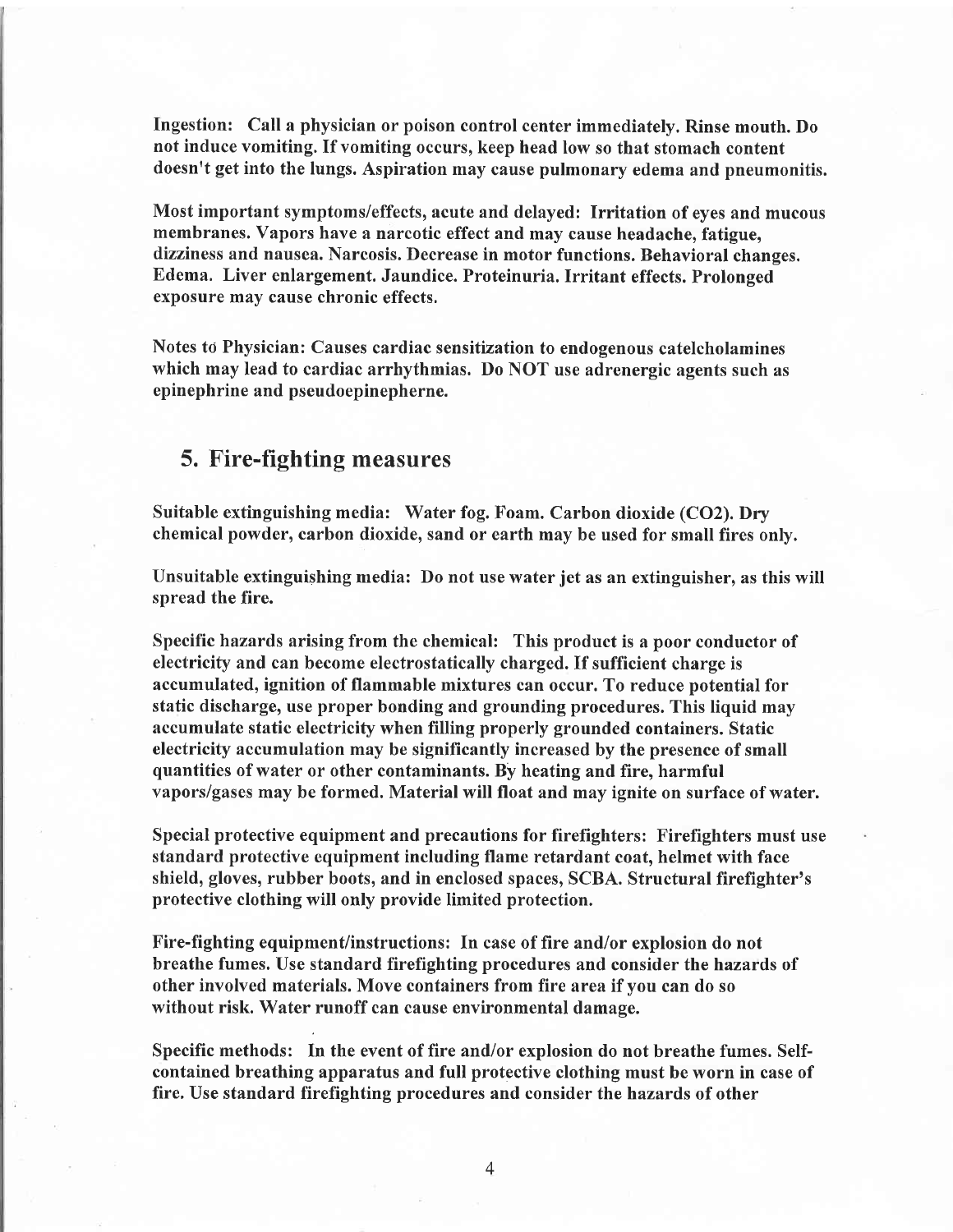Ingestion: Call a physician or poison control center immediately. Rinse mouth. Do not induce vomiting. If vomiting occurs, keep head low so that stomach content doesn't get into the lungs. Aspiration may cause pulmonary edema and pneumonitis.

Most important symptoms/effects, acute and delayed: Irritation of eyes and mucous membranes. Vapors have a narcotic effect and may cause headache, fatigue, dizziness and nausea. Narcosis. Decrease in motor functions. Behavioral changes. Edema. Liver enlargement. Jaundice. Proteinuria. Irritant effects. Prolonged exposure may cause chronic effects.

Notes to Physician: Causes cardiac sensitization to endogenous catelcholamines which may lead to cardiac arrhythmias. Do NOT use adrenergic agents such as epinephrine and pseudoepinepherne.

# 5. Fire-fighting measures

Suitable extinguishing media: Water fog. Foam. Carbon dioxide (CO2). Dry chemical powder, carbon dioxide, sand or earth may be used for small fires only.

Unsuitable extinguishing media: Do not use water jet as an extinguisher, as this will spread the fire.

Specific hazards arising from the chemical: This product is a poor conductor of electricity and can become electrostatically charged. If sufficient charge is accumulated, ignition of flammable mixtures can occur. To reduce potential for static discharge, use proper bonding and grounding procedures. This liquid may accumulate static electricity when filling properly grounded containers. Static electricity accumulation may be significantly increased by the presence of small quantities of water or other contaminants. By heating and fire, harmful vapors/gases may be formed. Material will float and may ignite on surface of water.

Special protective equipment and precautions for firefighters: Firefighters must use standard protective equipment including flame retardant coat, helmet with face shield, gloves, rubber boots, and in enclosed spaces, SCBA. Structural firefighter's protective clothing will only provide limited protection.

Fire-fighting equipment/instructions: In case of fire and/or explosion do not breathe fumes. Use standard firefighting procedures and consider the hazards of other involved materials. Move containers from fire area if you can do so without risk. Water runoff can cause environmental damage.

Specific methods: In the event of fire and/or explosion do not breathe fumes. Selfcontained breathing apparatus and full protective clothing must be worn in case of fire. Use standard firefighting procedures and consider the hazards of other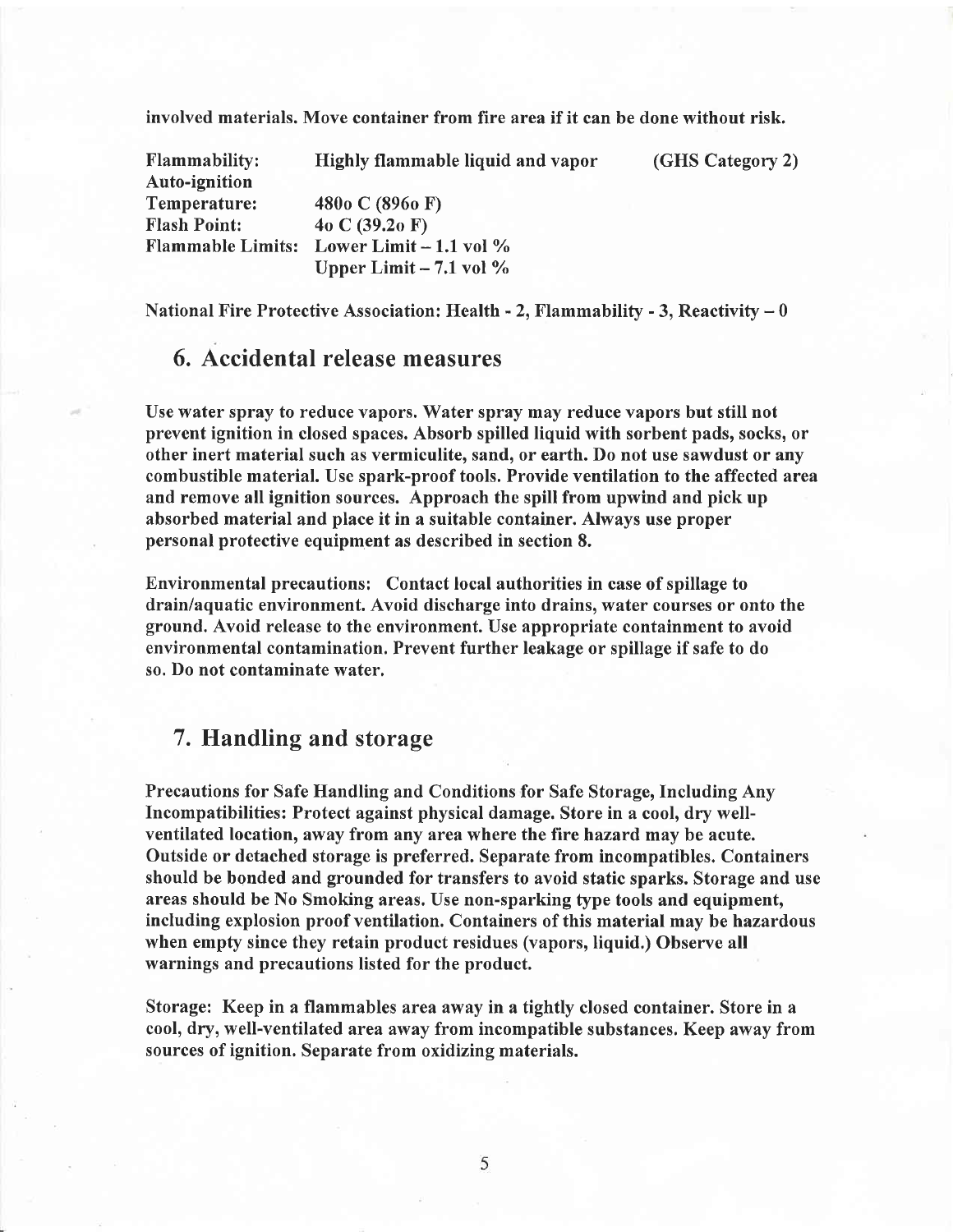involved materials. Move container from fire area if it can be done without risk.

| <b>Flammability:</b>     | Highly flammable liquid and vapor | (GHS Category 2) |
|--------------------------|-----------------------------------|------------------|
| <b>Auto-ignition</b>     |                                   |                  |
| Temperature:             | 480 $o C$ (896 $o F$ )            |                  |
| <b>Flash Point:</b>      | 40 C $(39.20 \text{ F})$          |                  |
| <b>Flammable Limits:</b> | Lower Limit $-1.1$ vol $\%$       |                  |
|                          | Upper Limit $-7.1$ vol $\%$       |                  |

National Fire Protective Association: Health  $-$  2. Flammability  $-$  3. Reactivity  $-$  0

# 6. Accidental release measures

Use water spray to reduce vapors. Water spray may reduce vapors but still not prevent ignition in closed spaces. Absorb spilled liquid with sorbent pads, socks, or other inert material such as vermiculite, sand, or earth. Do not use sawdust or any combustible material. Use spark-proof tools. Provide ventilation to the affected area and remove all ignition sources. Approach the spill from upwind and pick up absorbed material and place it in a suitable container. Always use proper personal protective equipment as described in section 8.

Environmental precautions: Contact local authorities in case of spillage to drain/aquatic environment. Avoid discharge into drains, water courses or onto the ground. Avoid release to the environment. Use appropriate containment to avoid environmental contamination. Prevent further leakage or spillage if safe to do so. Do not contaminate water.

# 7. Handling and storage

Precautions for Safe Handling and Conditions for Safe Storage, Including Any Incompatibilities: Protect against physical damage. Store in a cool, dry wellventilated location, away from any area where the fire hazard may be acute. Outside or detached storage is preferred. Separate from incompatibles. Containers should be bonded and grounded for transfers to avoid static sparks. Storage and use areas should be No Smoking areas. Use non-sparking type tools and equipment, including explosion proof ventilation. Containers of this material may be hazardous when empty since they retain product residues (vapors, liquid.) Observe all warnings and precautions listed for the product.

Storage: Keep in a flammables area away in a tightly closed container. Store in <sup>a</sup> cool, dry, well-ventilated area away from incompatible substances. Keep away from sources of ignition. Separate from oxidizing materials.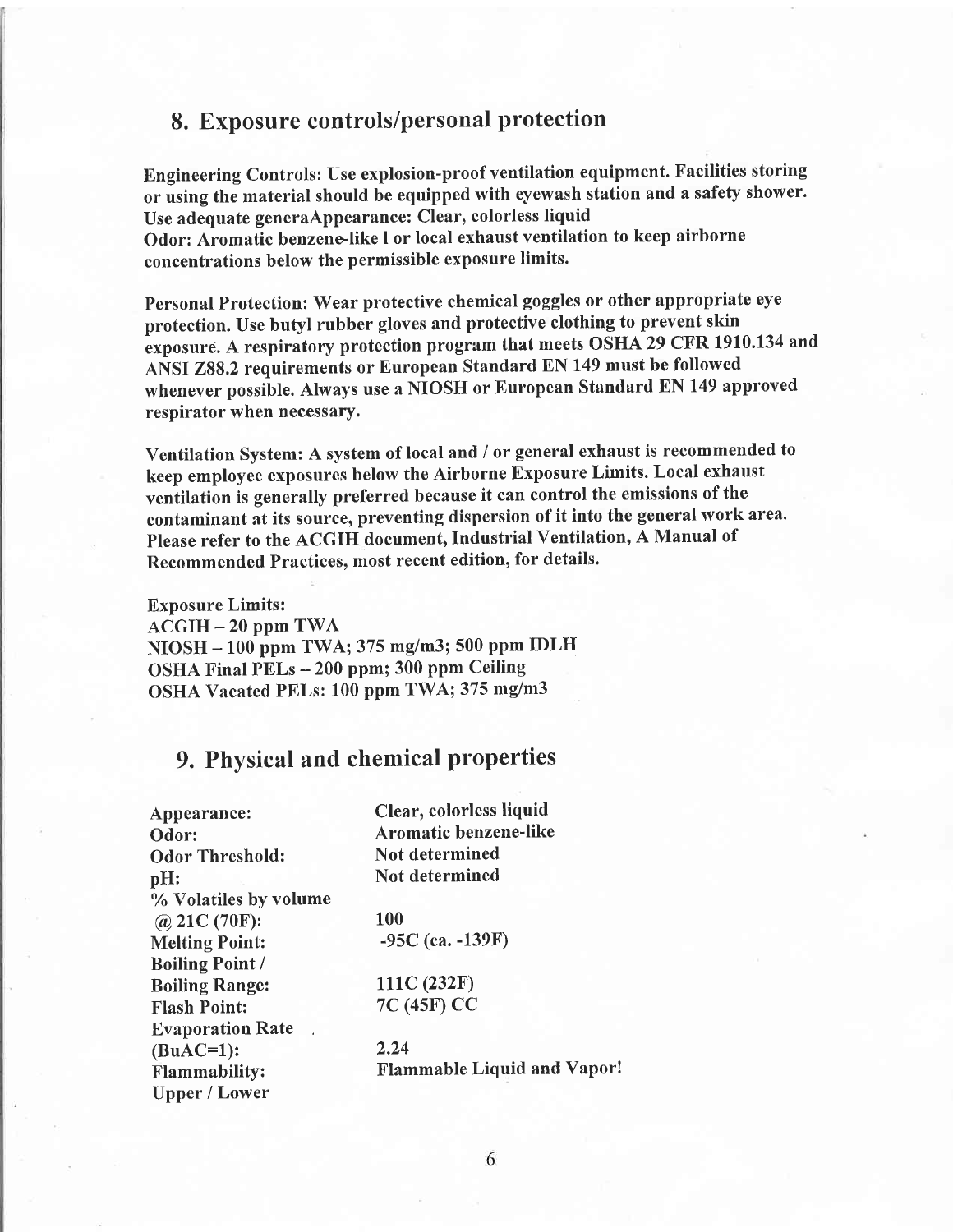### 8. Exposure controls/personal protection

Engineering Controls: Use explosion-proof ventilation equipment. Facilities storing or using the material should be equipped with eyewash station and a safety shower. Use adequate generaAppearance: Clear, colorless liquid Odor: Aromatic benzene-like I or local exhaust ventilation to keep airborne concentrations below the permissible exposure limits.

Personal Protection: Wear protective chemical goggles or other appropriate eye protection. Use butyl rubber gloves and protective clothing to prevent skin exposure. A respiratory protection program that meets OSHA 29 CFR 1910.134 and ANSI 288,2 requirements or European Standard EN 149 must be followed whenever possible. Always use a NIOSH or European Standard EN 149 approved respirator when necessary.

Ventilation System: A system of local and / or general exhaust is recommended to keep employee exposures below the Airborne Exposure Limits. Local exhaust ventilation is generally preferred because it can control the emissions of the contaminant at its source, preventing dispersion of it into the general work area. Please refer to the ACGIH document, Industrial Ventilation, A Manual of Recommended Practices, most recent edition, for details.

Exposure Limits:  $ACGIH - 20$  ppm TWA NIOSH - 100 ppm TWA; 375 mg/m3; 500 ppm IDLH OSHA Final PELs -200 ppm; 300 ppm Ceiling OSHA Vacated PELs: 100 ppm TWA; 375 mg/m3

# 9. Physical and chemical properties

| Appearance:             | Clear, colorless liquid            |  |  |
|-------------------------|------------------------------------|--|--|
| Odor:                   | Aromatic benzene-like              |  |  |
| <b>Odor Threshold:</b>  | Not determined                     |  |  |
| pH:                     | Not determined                     |  |  |
| % Volatiles by volume   |                                    |  |  |
| @ 21C $(70F)$ :         | <b>100</b>                         |  |  |
| <b>Melting Point:</b>   | $-95C$ (ca. $-139F$ )              |  |  |
| <b>Boiling Point /</b>  |                                    |  |  |
| <b>Boiling Range:</b>   | 111C (232F)                        |  |  |
| <b>Flash Point:</b>     | 7C (45F) CC                        |  |  |
| <b>Evaporation Rate</b> |                                    |  |  |
| $(BuAC=1)$ :            | 2.24                               |  |  |
| <b>Flammability:</b>    | <b>Flammable Liquid and Vapor!</b> |  |  |
| <b>Upper / Lower</b>    |                                    |  |  |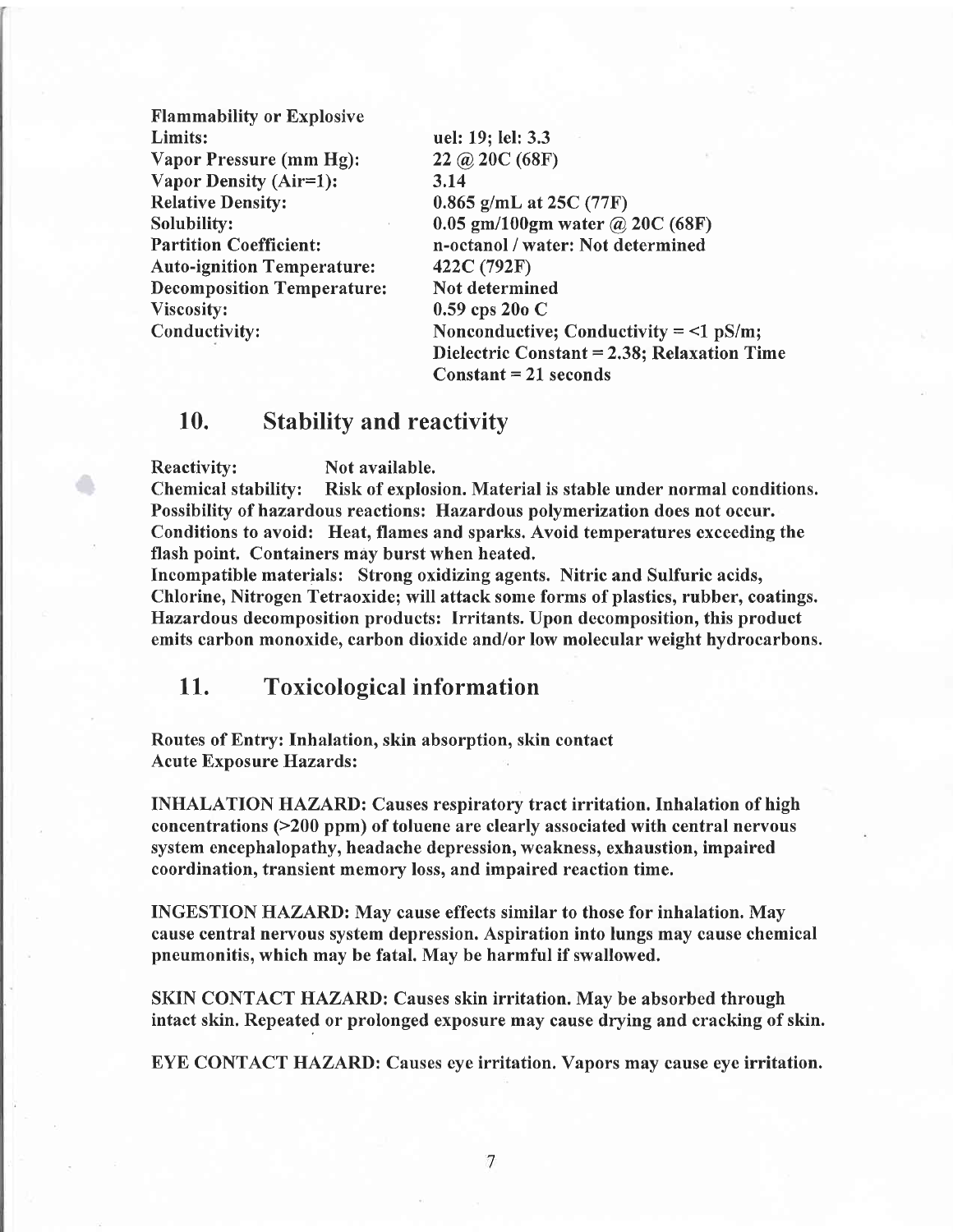| <b>Flammability or Explosive</b>  |                                             |  |  |
|-----------------------------------|---------------------------------------------|--|--|
| Limits:                           | uel: 19; lel: 3.3                           |  |  |
| Vapor Pressure (mm Hg):           | $22 \omega$ 20C (68F)                       |  |  |
| Vapor Density (Air=1):            | 3.14                                        |  |  |
| <b>Relative Density:</b>          | $0.865$ g/mL at 25C (77F)                   |  |  |
| Solubility:                       | $0.05$ gm/100gm water @ 20C (68F)           |  |  |
| <b>Partition Coefficient:</b>     | n-octanol / water: Not determined           |  |  |
| <b>Auto-ignition Temperature:</b> | 422C (792F)                                 |  |  |
| <b>Decomposition Temperature:</b> | Not determined                              |  |  |
| Viscosity:                        | $0.59$ cps 20o C                            |  |  |
| Conductivity:                     | Nonconductive; Conductivity $=$ <1 pS/m;    |  |  |
|                                   | Dielectric Constant = 2.38; Relaxation Time |  |  |
|                                   | $Constant = 21 seconds$                     |  |  |
|                                   |                                             |  |  |

# 10. Stability and reactivity

Reactivity: Not available.

Chemical stabilify: Risk of explosion. Material is stable under normal conditions. Possibilify of hazardous reactions: Hazardous polymerization does not occur. Conditions to avoid: Heat, flames and sparks. Avoid temperatures exceeding the flash point. Containers may burst when heated.

Incompatible materials: Strong oxidizing agents. Nitric and Sulfuric acids, Chlorine, Nitrogen Tetraoxide; will attack some forms of plastics, rubber, coatings. Hazardous decomposition products: Irritants. Upon decomposition, this product emits carbon monoxide, carbon dioxide and/or low molecular weight hydrocarbons.

## 11. Toxicological information

Routes of Entry: Inhalation, skin absorption, skin contact Acute Exposure Hazards:

INHALATION HAZARD: Causes respiratory tract irritation. Inhalation of high concentrations (>200 ppm) of toluene are clearly associated with central nervous system encephalopathy, headache depression, weakness, exhaustion, impaired coordination, transient memory loss, and impaired reaction time.

INGESTION HAZARD: May cause effects similar to those for inhalation. May cause central nerryous system depression. Aspiration into lungs may cause chemical pneumonitis, which may be fatal. May be harmtul if swallowed.

SKIN CONTACT HAZARD: Causes skin irritation. May be absorbed through intact skin. Repeated or prolonged exposure may cause drying and cracking of skin.

EYE CONTACT HAZARD: Causes eye irritation. Vapors may cause eye irritation.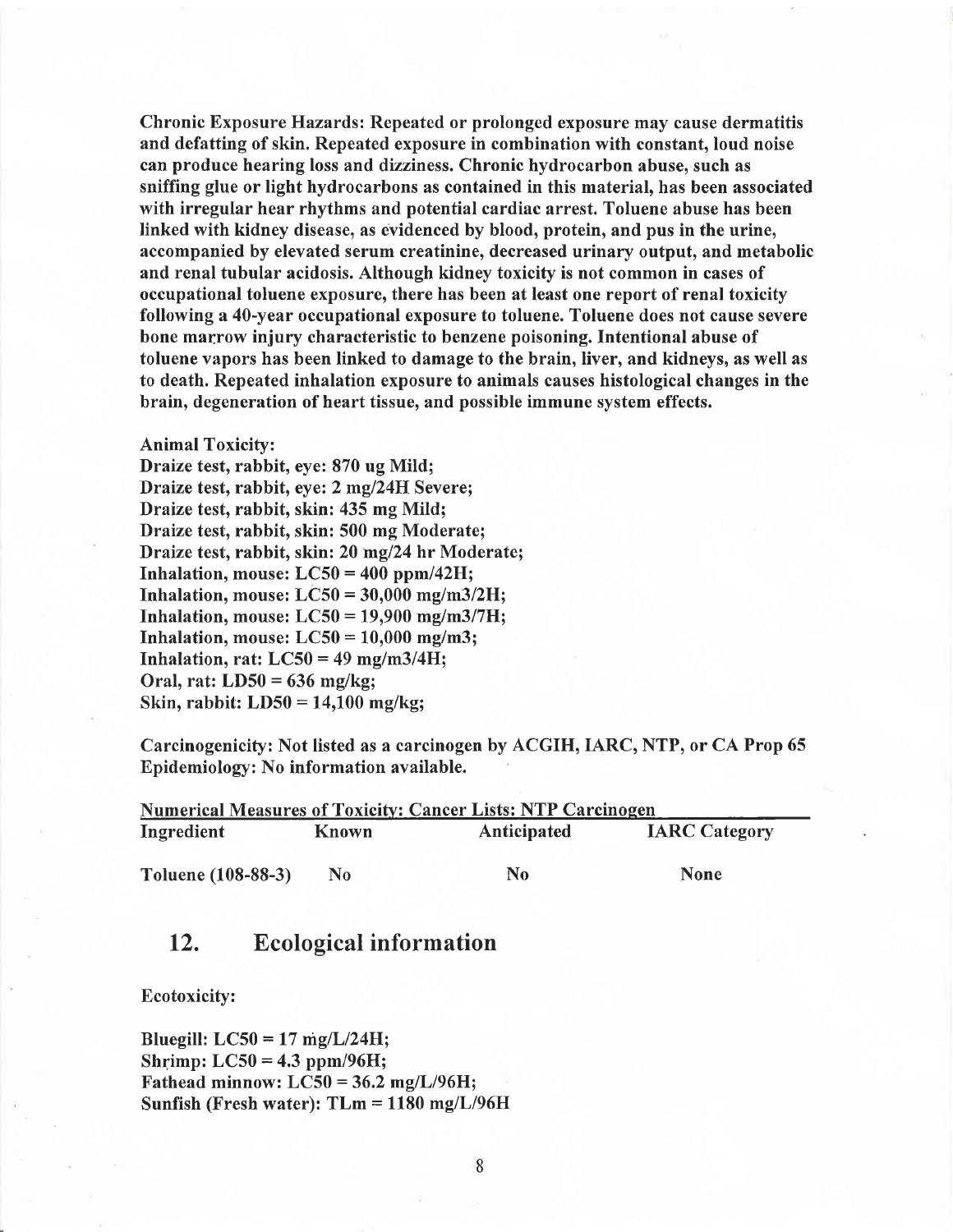Chronic Exposure Hazards: Repeated or prolonged exposure may cause dermatitis and defatting of skin. Repeated exposure in combination with constant, loud noise can produce hearing loss and dizziness. Chronic hydrocarbon abuse, such as sniffing glue or light hydrocarbons as contained in this material, has been associated with irregular hear rhythms and potential cardiac arrest. Toluene abuse has been linked with kidney disease, as evidenced by blood, protein, and pus in the urine, accompanied by elevated serum creatinine, decreased urinary output, and metabolic and renal tubular acidosis. Although kidney toxicity is not common in cases of occupational toluene exposure, there has been at least one report of renal toxicity following a 40-year occupational exposure to toluene. Toluene does not cause severe bone marrow injury characteristic to benzene poisoning. Intentional abuse of toluene vapors has been linked to damage to the brain, liver, and kidneys, as well as to death. Repeated inhalation exposure to animals causes histological changes in the brain, degeneration of heart tissue, and possible immune system effects.

#### Animal Toxicity:

Draize test, rabbit, eye: 870 ug Mild; Draize test, rabbit, eye: 2 mg/24H Severe; Draize test, rabbit, skin: 435 mg Mild; Draize test, rabbit, skin: 500 mg Moderate; Draize test, rabbit, skin: 20 mg/24 hr Moderate; Inhalation, mouse:  $LC50 = 400$  ppm/42H; Inhalation, mouse:  $LC50 = 30,000$  mg/m3/2H; Inhalation, mouse:  $LC50 = 19,900$  mg/m3/7H; Inhalation, mouse:  $LC50 = 10,000$  mg/m3; Inhalation, rat:  $LC50 = 49$  mg/m3/4H; Oral, rat: LD50 = 636 mg/kg; Skin, rabbit: LD50 = 14,100 mg/kg;

Carcinogenicity: Not listed as a carcinogen by ACGIH, IARC, NTP, or CA Prop 65 Epidemiology: No information available.

| <b>Numerical Measures of Toxicity: Cancer Lists: NTP Carcinogen</b> |              |                |                      |  |  |  |
|---------------------------------------------------------------------|--------------|----------------|----------------------|--|--|--|
| Ingredient                                                          | <b>Known</b> | Anticipated    | <b>IARC</b> Category |  |  |  |
| Toluene (108-88-3)                                                  | No           | N <sub>0</sub> | <b>None</b>          |  |  |  |

# 12. Ecological information

Ecotoxicity:

Bluegill:  $LC50 = 17$  mg/L/24H; Shrimp:  $LC50 = 4.3$  ppm/96H; Fathead minnow:  $LC50 = 36.2$  mg/L/96H; Sunfish (Fresh water):  $T L m = 1180$  mg/ $L/96H$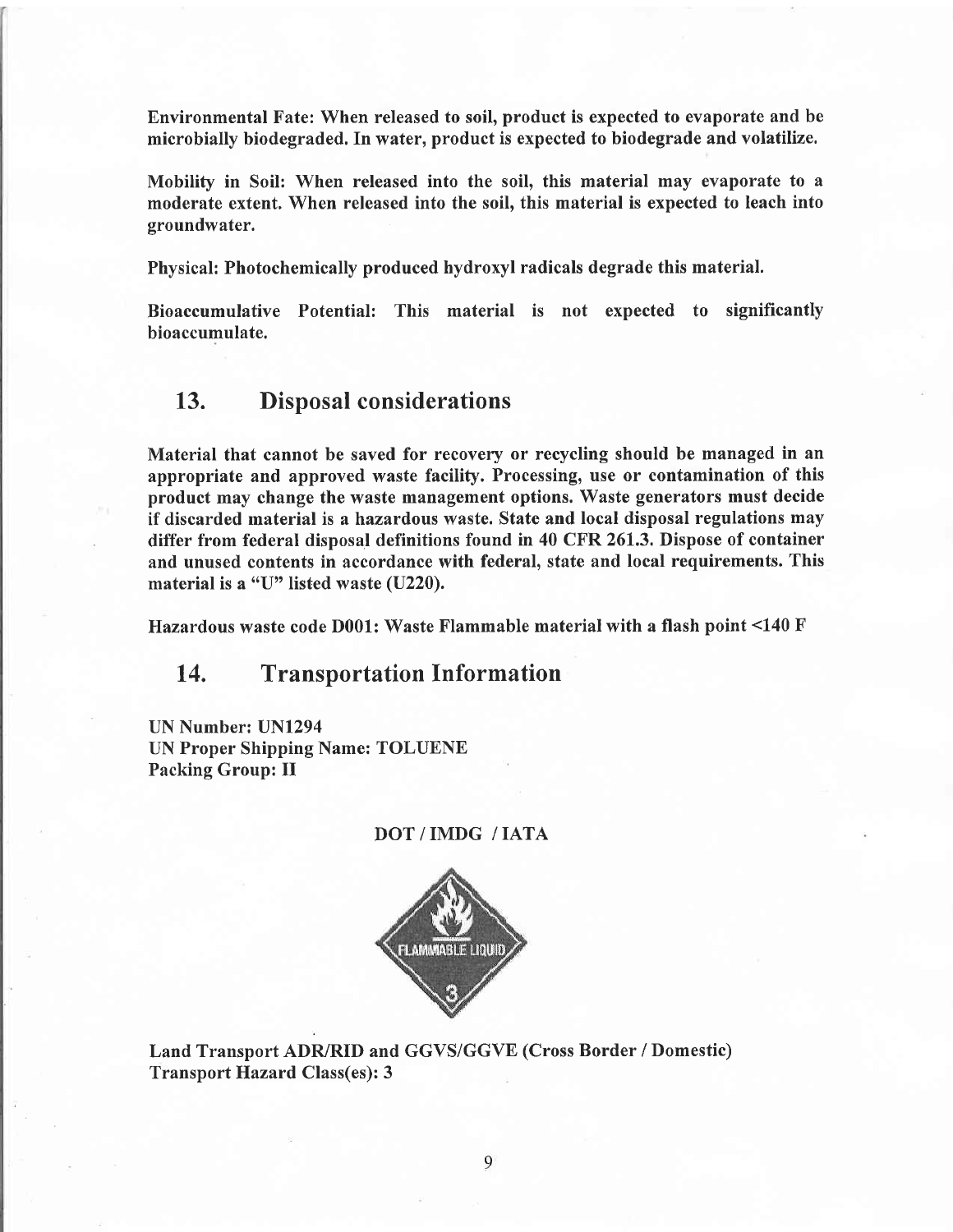Environmental Fate: When released to soil, product is expected to evaporate and be microbially biodegraded. In water, product is expected to biodegrade and volatilize.

Mobility in Soil: When released into the soil, this material may evaporate to <sup>a</sup> moderate extent. When released into the soil, this material is expected to leach into groundwater.

Physical: Photochemically produced hydroxyl radicals degrade this material.

Bioaccumulative Potential: This material is not expected to significantly bioaccumulate.

### 13. Disposal considerations

Material that cannot be saved for recovery or recycling should be managed in an appropriate and approved waste facility. Processing, use or contamination of this product may change the waste management options. Waste generators must decide if discarded material is a hazardous waste. State and local disposal regulations may differ from federal disposal definitions found in 40 CFR 26I.3, Dispose of container and unused contents in accordance with federal, state and local requirements. This material is a "U" listed waste (U220).

Hazardous waste code D001: Waste Flammable material with a flash point <140 F

# 14. Transportation Information

UN Number: UNl294 UN Proper Shipping Name: TOLUENE Packing Group: II

#### DOT/IMDG /IATA



Land Transport ADR/RID and GGVS/GGVE (Cross Border / Domestic) Transport Hazard Class(es): 3

9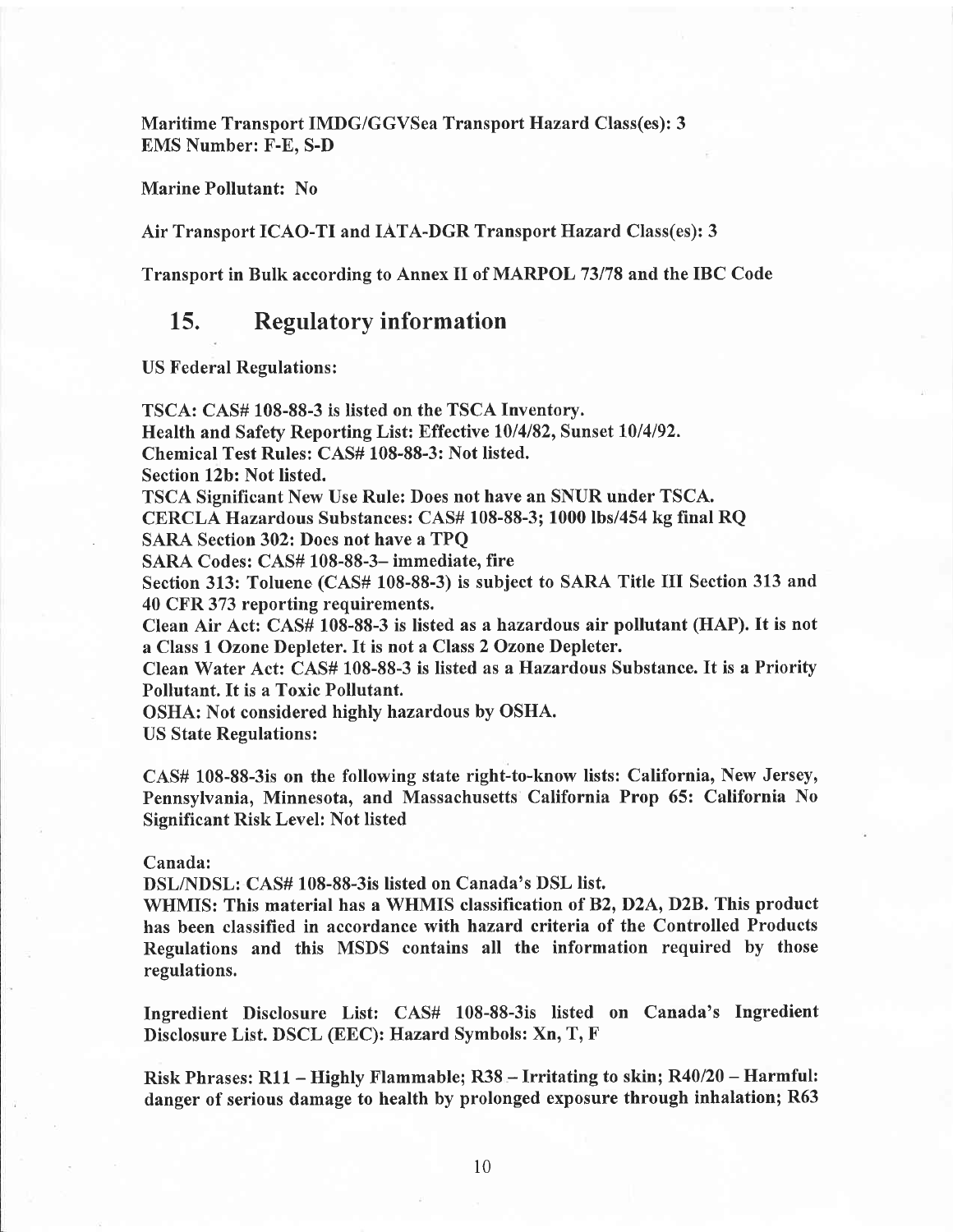Maritime Transport IMDG/GGVSea Transport Hazard Class(es): 3 EMS Number: F-E. S-D

Marine Pollutant: No

Air Transport ICAO-TI and IATA-DGR Transport Hazard Class(es): 3

Transport in Bulk according to Annex II of MARPOL 73178 and the IBC Code

## L5. Regulatory information

US Federal Regulations:

TSCA: CAS# 108-88-3 is listed on the TSCA Inventory. Health and Safety Reporting List: Effective 10/4/82, Sunset 10/4/92. Chemical Test Rules: CAS# 108-88-3: Not listed. Section 12b: Not listed. TSCA Significant New Use Rule: Does not have an SNUR under TSCA. CERCLA Hazardous Substances: CAS# 108-88-3; 1000 lbs/454 kg final RQ . SARA Section 302: Does not have a TPQ SARA Codes: CAS# 108-88-3- immediate. fire Section 313: Toluene (CAS# 108-88-3) is subject to SARA Title III Section 313 and 40 CFR 373 reporting requirements. Clean Air Act: CAS# 108-88-3 is listed as ahazardous air pollutant (HAP). It is not a Class 1 Ozone Depleter. It is not a Class 2 Ozone Depleter. Clean Water Act: CAS# 108-88-3 is listed as a Hazardous Substance. It is a Priority Pollutant. It is a Toxic Pollutant. OSHA: Not considered highly hazardous by OSHA. US State Regulations:

CAS# 108-88-3is on the following state right-to-know lists: California, New Jersey, Pennsylvania, Minnesota, and Massachusetts California Prop 65: California No Significant Risk Level: Not listed

#### Cannda:

DSLNDSL: CAS# 108-88-3is listed on Canada's DSL list.

WHMIS: This material has a WHMIS classification of B2, D2A, D2B. This product has been classified in accordance with hazard criteria of the Controlled Products Regulations and this MSDS contains all the information required by those regulations.

Ingredient Disclosure List: CAS# 108-88-3is listed on Canada's Ingredient Disclosure List. DSCL (EEC): Hazard Symbols: Xn, T, F

Risk Phrases: Rl1 - Highly Flammable; R38 - Irritating to skin; R40/20 - Harmful: danger of serious damage to health by prolonged exposure through inhalation; R63